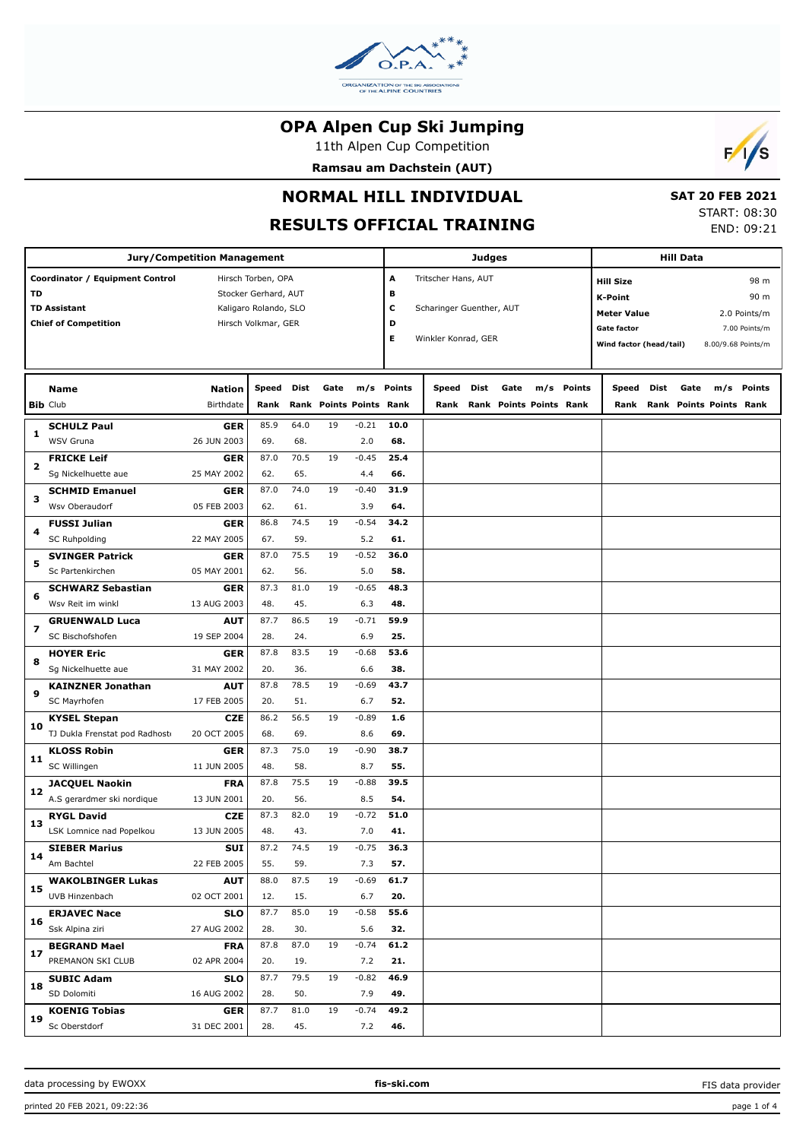

11th Alpen Cup Competition

**Ramsau am Dachstein (AUT)**



# **NORMAL HILL INDIVIDUAL**

# **RESULTS OFFICIAL TRAINING**

 **SAT 20 FEB 2021** START: 08:30 END: 09:21

|    | <b>Jury/Competition Management</b> |                     |                       |      | Judges                  |         |            |                          |      | <b>Hill Data</b>        |     |        |                         |      |      |                         |                    |
|----|------------------------------------|---------------------|-----------------------|------|-------------------------|---------|------------|--------------------------|------|-------------------------|-----|--------|-------------------------|------|------|-------------------------|--------------------|
|    | Coordinator / Equipment Control    |                     | Hirsch Torben, OPA    |      |                         |         | A          | Tritscher Hans, AUT      |      |                         |     |        | <b>Hill Size</b>        |      |      |                         | 98 m               |
| TD |                                    |                     | Stocker Gerhard, AUT  |      |                         |         | в          |                          |      |                         |     |        | <b>K-Point</b>          |      |      |                         | 90 m               |
|    | <b>TD Assistant</b>                |                     | Kaligaro Rolando, SLO |      |                         |         | с          | Scharinger Guenther, AUT |      |                         |     |        | <b>Meter Value</b>      |      |      |                         | 2.0 Points/m       |
|    | <b>Chief of Competition</b>        | Hirsch Volkmar, GER |                       |      |                         |         | D          |                          |      |                         |     |        | <b>Gate factor</b>      |      |      |                         | 7.00 Points/m      |
|    |                                    |                     |                       |      |                         |         | Е          | Winkler Konrad, GER      |      |                         |     |        | Wind factor (head/tail) |      |      |                         | 8.00/9.68 Points/m |
|    |                                    |                     |                       |      |                         |         |            |                          |      |                         |     |        |                         |      |      |                         |                    |
|    | <b>Name</b>                        | <b>Nation</b>       | Speed                 | Dist | Gate                    |         | m/s Points | Speed                    | Dist | Gate                    | m/s | Points | Speed                   | Dist | Gate | m/s                     | Points             |
|    | <b>Bib Club</b>                    | Birthdate           | Rank                  |      | Rank Points Points Rank |         |            | Rank                     |      | Rank Points Points Rank |     |        | Rank                    |      |      | Rank Points Points Rank |                    |
| 1  | <b>SCHULZ Paul</b>                 | <b>GER</b>          | 85.9                  | 64.0 | 19                      | $-0.21$ | 10.0       |                          |      |                         |     |        |                         |      |      |                         |                    |
|    | WSV Gruna                          | 26 JUN 2003         | 69.                   | 68.  |                         | 2.0     | 68.        |                          |      |                         |     |        |                         |      |      |                         |                    |
| 2  | <b>FRICKE Leif</b>                 | <b>GER</b>          | 87.0                  | 70.5 | 19                      | $-0.45$ | 25.4       |                          |      |                         |     |        |                         |      |      |                         |                    |
|    | Sg Nickelhuette aue                | 25 MAY 2002         | 62.                   | 65.  |                         | 4.4     | 66.        |                          |      |                         |     |        |                         |      |      |                         |                    |
| з  | <b>SCHMID Emanuel</b>              | <b>GER</b>          | 87.0                  | 74.0 | 19                      | $-0.40$ | 31.9       |                          |      |                         |     |        |                         |      |      |                         |                    |
|    | Wsv Oberaudorf                     | 05 FEB 2003         | 62.                   | 61.  |                         | 3.9     | 64.        |                          |      |                         |     |        |                         |      |      |                         |                    |
| 4  | <b>FUSSI Julian</b>                | <b>GER</b>          | 86.8                  | 74.5 | 19                      | $-0.54$ | 34.2       |                          |      |                         |     |        |                         |      |      |                         |                    |
|    | <b>SC Ruhpolding</b>               | 22 MAY 2005         | 67.                   | 59.  |                         | 5.2     | 61.        |                          |      |                         |     |        |                         |      |      |                         |                    |
| 5  | <b>SVINGER Patrick</b>             | <b>GER</b>          | 87.0                  | 75.5 | 19                      | $-0.52$ | 36.0       |                          |      |                         |     |        |                         |      |      |                         |                    |
|    | Sc Partenkirchen                   | 05 MAY 2001         | 62.                   | 56.  |                         | 5.0     | 58.        |                          |      |                         |     |        |                         |      |      |                         |                    |
|    | <b>SCHWARZ Sebastian</b>           | <b>GER</b>          | 87.3                  | 81.0 | 19                      | $-0.65$ | 48.3       |                          |      |                         |     |        |                         |      |      |                         |                    |
| 6  | Wsv Reit im winkl                  | 13 AUG 2003         | 48.                   | 45.  |                         | 6.3     | 48.        |                          |      |                         |     |        |                         |      |      |                         |                    |
|    | <b>GRUENWALD Luca</b>              | <b>AUT</b>          | 87.7                  | 86.5 | 19                      | $-0.71$ | 59.9       |                          |      |                         |     |        |                         |      |      |                         |                    |
| 7  | SC Bischofshofen                   | 19 SEP 2004         | 28.                   | 24.  |                         | 6.9     | 25.        |                          |      |                         |     |        |                         |      |      |                         |                    |
|    | <b>HOYER Eric</b>                  | <b>GER</b>          | 87.8                  | 83.5 | 19                      | $-0.68$ | 53.6       |                          |      |                         |     |        |                         |      |      |                         |                    |
| 8  | Sg Nickelhuette aue                | 31 MAY 2002         | 20.                   | 36.  |                         | 6.6     | 38.        |                          |      |                         |     |        |                         |      |      |                         |                    |
|    | <b>KAINZNER Jonathan</b>           | <b>AUT</b>          | 87.8                  | 78.5 | 19                      | $-0.69$ | 43.7       |                          |      |                         |     |        |                         |      |      |                         |                    |
| 9  | SC Mayrhofen                       | 17 FEB 2005         | 20.                   | 51.  |                         | 6.7     | 52.        |                          |      |                         |     |        |                         |      |      |                         |                    |
|    | <b>KYSEL Stepan</b>                | <b>CZE</b>          | 86.2                  | 56.5 | 19                      | $-0.89$ | 1.6        |                          |      |                         |     |        |                         |      |      |                         |                    |
| 10 | TJ Dukla Frenstat pod Radhost      | 20 OCT 2005         | 68.                   | 69.  |                         | 8.6     | 69.        |                          |      |                         |     |        |                         |      |      |                         |                    |
|    | <b>KLOSS Robin</b>                 | <b>GER</b>          | 87.3                  | 75.0 | 19                      | $-0.90$ | 38.7       |                          |      |                         |     |        |                         |      |      |                         |                    |
| 11 | SC Willingen                       | 11 JUN 2005         | 48.                   | 58.  |                         | 8.7     | 55.        |                          |      |                         |     |        |                         |      |      |                         |                    |
|    | <b>JACQUEL Naokin</b>              | <b>FRA</b>          | 87.8                  | 75.5 | 19                      | $-0.88$ | 39.5       |                          |      |                         |     |        |                         |      |      |                         |                    |
| 12 | A.S gerardmer ski nordique         | 13 JUN 2001         | 20.                   | 56.  |                         | 8.5     | 54.        |                          |      |                         |     |        |                         |      |      |                         |                    |
|    | <b>RYGL David</b>                  | <b>CZE</b>          | 87.3                  | 82.0 | 19                      | $-0.72$ | 51.0       |                          |      |                         |     |        |                         |      |      |                         |                    |
| 13 | LSK Lomnice nad Popelkou           | 13 JUN 2005         | 48.                   | 43.  |                         | 7.0     | 41.        |                          |      |                         |     |        |                         |      |      |                         |                    |
|    | <b>SIEBER Marius</b>               | <b>SUI</b>          | 87.2                  | 74.5 | 19                      | $-0.75$ | 36.3       |                          |      |                         |     |        |                         |      |      |                         |                    |
| 14 | Am Bachtel                         | 22 FEB 2005         | 55.                   | 59.  |                         | 7.3     | 57.        |                          |      |                         |     |        |                         |      |      |                         |                    |
|    | <b>WAKOLBINGER Lukas</b>           | <b>AUT</b>          | 88.0                  | 87.5 | 19                      | $-0.69$ | 61.7       |                          |      |                         |     |        |                         |      |      |                         |                    |
| 15 | UVB Hinzenbach                     | 02 OCT 2001         | 12.                   | 15.  |                         | 6.7     | 20.        |                          |      |                         |     |        |                         |      |      |                         |                    |
|    | <b>ERJAVEC Nace</b>                | <b>SLO</b>          | 87.7                  | 85.0 | 19                      | $-0.58$ | 55.6       |                          |      |                         |     |        |                         |      |      |                         |                    |
| 16 | Ssk Alpina ziri                    | 27 AUG 2002         | 28.                   | 30.  |                         | 5.6     | 32.        |                          |      |                         |     |        |                         |      |      |                         |                    |
|    | <b>BEGRAND Mael</b>                | <b>FRA</b>          | 87.8                  | 87.0 | 19                      | $-0.74$ | 61.2       |                          |      |                         |     |        |                         |      |      |                         |                    |
| 17 | PREMANON SKI CLUB                  | 02 APR 2004         | 20.                   | 19.  |                         | 7.2     | 21.        |                          |      |                         |     |        |                         |      |      |                         |                    |
| 18 | <b>SUBIC Adam</b>                  | <b>SLO</b>          | 87.7                  | 79.5 | 19                      | $-0.82$ | 46.9       |                          |      |                         |     |        |                         |      |      |                         |                    |
|    | SD Dolomiti                        | 16 AUG 2002         | 28.                   | 50.  |                         | 7.9     | 49.        |                          |      |                         |     |        |                         |      |      |                         |                    |
|    | <b>KOENIG Tobias</b>               | <b>GER</b>          | 87.7                  | 81.0 | 19                      | $-0.74$ | 49.2       |                          |      |                         |     |        |                         |      |      |                         |                    |
| 19 | Sc Oberstdorf                      | 31 DEC 2001         | 28.                   | 45.  |                         | 7.2     | 46.        |                          |      |                         |     |        |                         |      |      |                         |                    |

FIS data provider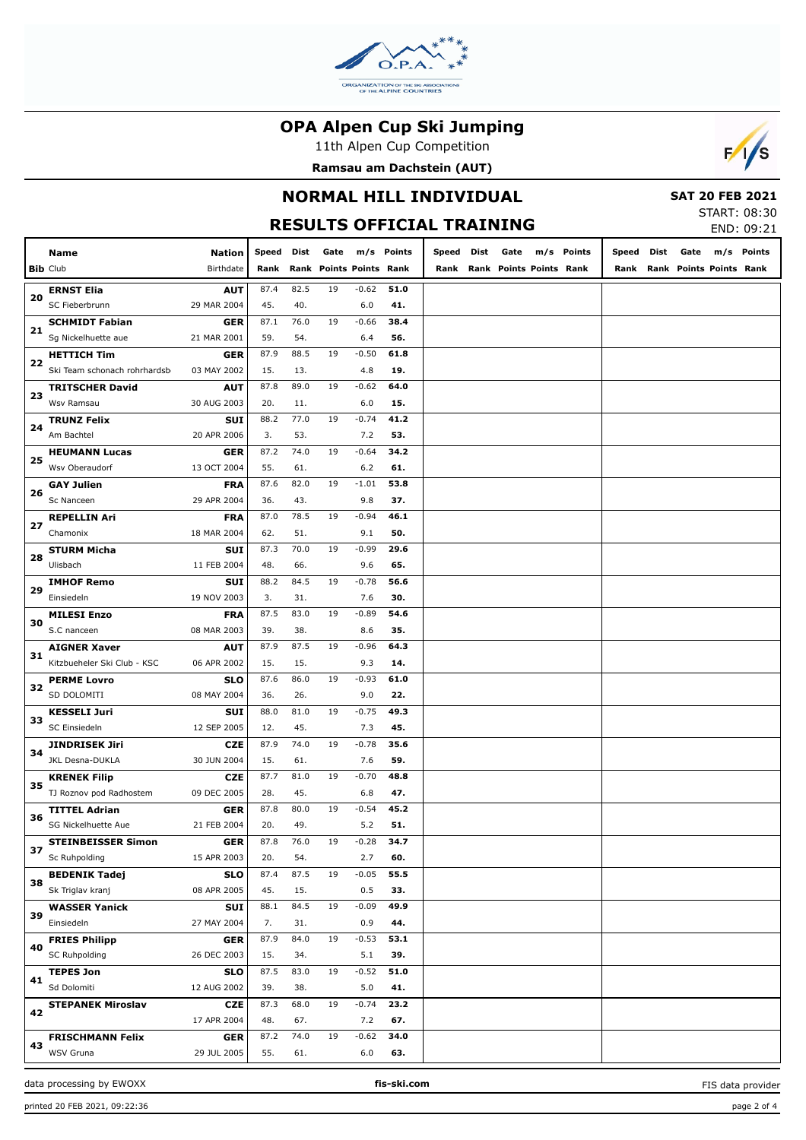

11th Alpen Cup Competition



## **NORMAL HILL INDIVIDUAL RESULTS OFFICIAL TRAINING**

 **SAT 20 FEB 2021**

START: 08:30 END: 09:21

 $F/1/s$ 

|    |                                                 |                    |             |             |      |                           |             |       |      |                         |            |       |      |      |                         | LIVU. UJ.ZI |
|----|-------------------------------------------------|--------------------|-------------|-------------|------|---------------------------|-------------|-------|------|-------------------------|------------|-------|------|------|-------------------------|-------------|
|    | Name                                            | Nation             | Speed       | Dist        | Gate |                           | m/s Points  | Speed | Dist | Gate                    | m/s Points | Speed | Dist | Gate |                         | m/s Points  |
|    | <b>Bib Club</b>                                 | Birthdate          | Rank        | Rank        |      | <b>Points Points Rank</b> |             | Rank  |      | Rank Points Points Rank |            | Rank  |      |      | Rank Points Points Rank |             |
|    | <b>ERNST Elia</b>                               | <b>AUT</b>         | 87.4        | 82.5        | 19   | $-0.62$                   | 51.0        |       |      |                         |            |       |      |      |                         |             |
| 20 | SC Fieberbrunn                                  | 29 MAR 2004        | 45.         | 40.         |      | 6.0                       | 41.         |       |      |                         |            |       |      |      |                         |             |
|    | <b>SCHMIDT Fabian</b>                           | GER                | 87.1        | 76.0        | 19   | $-0.66$                   | 38.4        |       |      |                         |            |       |      |      |                         |             |
| 21 | Sg Nickelhuette aue                             | 21 MAR 2001        | 59.         | 54.         |      | 6.4                       | 56.         |       |      |                         |            |       |      |      |                         |             |
|    | <b>HETTICH Tim</b>                              | GER                | 87.9        | 88.5        | 19   | $-0.50$                   | 61.8        |       |      |                         |            |       |      |      |                         |             |
| 22 | Ski Team schonach rohrhardsb                    | 03 MAY 2002        | 15.         | 13.         |      | 4.8                       | 19.         |       |      |                         |            |       |      |      |                         |             |
|    | <b>TRITSCHER David</b>                          | AUT                | 87.8        | 89.0        | 19   | $-0.62$                   | 64.0        |       |      |                         |            |       |      |      |                         |             |
| 23 | Wsv Ramsau                                      | 30 AUG 2003        | 20.         | 11.         |      | 6.0                       | 15.         |       |      |                         |            |       |      |      |                         |             |
|    | <b>TRUNZ Felix</b>                              | <b>SUI</b>         | 88.2        | 77.0        | 19   | $-0.74$                   | 41.2        |       |      |                         |            |       |      |      |                         |             |
| 24 | Am Bachtel                                      | 20 APR 2006        | 3.          | 53.         |      | 7.2                       | 53.         |       |      |                         |            |       |      |      |                         |             |
|    | <b>HEUMANN Lucas</b>                            | GER                | 87.2        | 74.0        | 19   | $-0.64$                   | 34.2        |       |      |                         |            |       |      |      |                         |             |
| 25 | Wsv Oberaudorf                                  | 13 OCT 2004        | 55.         | 61.         |      | 6.2                       | 61.         |       |      |                         |            |       |      |      |                         |             |
| 26 | <b>GAY Julien</b>                               | <b>FRA</b>         | 87.6        | 82.0        | 19   | $-1.01$                   | 53.8        |       |      |                         |            |       |      |      |                         |             |
|    | Sc Nanceen                                      | 29 APR 2004        | 36.         | 43.         |      | 9.8                       | 37.         |       |      |                         |            |       |      |      |                         |             |
| 27 | <b>REPELLIN Ari</b>                             | <b>FRA</b>         | 87.0        | 78.5        | 19   | $-0.94$                   | 46.1        |       |      |                         |            |       |      |      |                         |             |
|    | Chamonix                                        | 18 MAR 2004        | 62.         | 51.         |      | 9.1                       | 50.         |       |      |                         |            |       |      |      |                         |             |
| 28 | <b>STURM Micha</b>                              | <b>SUI</b>         | 87.3        | 70.0        | 19   | $-0.99$                   | 29.6        |       |      |                         |            |       |      |      |                         |             |
|    | Ulisbach                                        | 11 FEB 2004        | 48.         | 66.         |      | 9.6                       | 65.         |       |      |                         |            |       |      |      |                         |             |
| 29 | <b>IMHOF Remo</b>                               | SUI                | 88.2        | 84.5        | 19   | $-0.78$                   | 56.6        |       |      |                         |            |       |      |      |                         |             |
|    | Einsiedeln                                      | 19 NOV 2003        | 3.          | 31.         |      | 7.6                       | 30.         |       |      |                         |            |       |      |      |                         |             |
| 30 | <b>MILESI Enzo</b>                              | <b>FRA</b>         | 87.5        | 83.0        | 19   | $-0.89$                   | 54.6        |       |      |                         |            |       |      |      |                         |             |
|    | S.C nanceen                                     | 08 MAR 2003        | 39.         | 38.         |      | 8.6                       | 35.         |       |      |                         |            |       |      |      |                         |             |
| 31 | <b>AIGNER Xaver</b>                             | <b>AUT</b>         | 87.9        | 87.5        | 19   | $-0.96$                   | 64.3        |       |      |                         |            |       |      |      |                         |             |
|    | Kitzbueheler Ski Club - KSC                     | 06 APR 2002        | 15.         | 15.         |      | 9.3                       | 14.         |       |      |                         |            |       |      |      |                         |             |
| 32 | <b>PERME Lovro</b>                              | <b>SLO</b>         | 87.6        | 86.0        | 19   | $-0.93$                   | 61.0        |       |      |                         |            |       |      |      |                         |             |
|    | SD DOLOMITI                                     | 08 MAY 2004        | 36.         | 26.         |      | 9.0                       | 22.         |       |      |                         |            |       |      |      |                         |             |
| 33 | <b>KESSELI Juri</b>                             | SUI                | 88.0        | 81.0        | 19   | $-0.75$                   | 49.3        |       |      |                         |            |       |      |      |                         |             |
|    | SC Einsiedeln                                   | 12 SEP 2005        | 12.         | 45.         |      | 7.3                       | 45.         |       |      |                         |            |       |      |      |                         |             |
| 34 | <b>JINDRISEK Jiri</b>                           | <b>CZE</b>         | 87.9        | 74.0        | 19   | $-0.78$                   | 35.6        |       |      |                         |            |       |      |      |                         |             |
|    | JKL Desna-DUKLA                                 | 30 JUN 2004        | 15.         | 61.         |      | 7.6                       | 59.         |       |      |                         |            |       |      |      |                         |             |
| 35 | <b>KRENEK Filip</b>                             | <b>CZE</b>         | 87.7        | 81.0        | 19   | $-0.70$                   | 48.8        |       |      |                         |            |       |      |      |                         |             |
|    | TJ Roznov pod Radhostem<br><b>TITTEL Adrian</b> | 09 DEC 2005        | 28.<br>87.8 | 45.<br>80.0 | 19   | 6.8<br>$-0.54$            | 47.<br>45.2 |       |      |                         |            |       |      |      |                         |             |
| 36 | SG Nickelhuette Aue                             | GER<br>21 FEB 2004 | 20.         | 49.         |      | 5.2                       | 51.         |       |      |                         |            |       |      |      |                         |             |
|    | <b>STEINBEISSER Simon</b>                       | GER                | 87.8        | 76.0        | 19   | -0.28                     | 34.7        |       |      |                         |            |       |      |      |                         |             |
| 37 | Sc Ruhpolding                                   | 15 APR 2003        | 20.         | 54.         |      | 2.7                       | 60.         |       |      |                         |            |       |      |      |                         |             |
|    | <b>BEDENIK Tadej</b>                            | <b>SLO</b>         | 87.4        | 87.5        | 19   | $-0.05$                   | 55.5        |       |      |                         |            |       |      |      |                         |             |
| 38 | Sk Triglav kranj                                | 08 APR 2005        | 45.         | 15.         |      | 0.5                       | 33.         |       |      |                         |            |       |      |      |                         |             |
|    | <b>WASSER Yanick</b>                            | SUI                | 88.1        | 84.5        | 19   | $-0.09$                   | 49.9        |       |      |                         |            |       |      |      |                         |             |
| 39 | Einsiedeln                                      | 27 MAY 2004        | 7.          | 31.         |      | 0.9                       | 44.         |       |      |                         |            |       |      |      |                         |             |
|    | <b>FRIES Philipp</b>                            | <b>GER</b>         | 87.9        | 84.0        | 19   | $-0.53$                   | 53.1        |       |      |                         |            |       |      |      |                         |             |
| 40 | <b>SC Ruhpolding</b>                            | 26 DEC 2003        | 15.         | 34.         |      | 5.1                       | 39.         |       |      |                         |            |       |      |      |                         |             |
|    | <b>TEPES Jon</b>                                | <b>SLO</b>         | 87.5        | 83.0        | 19   | $-0.52$                   | 51.0        |       |      |                         |            |       |      |      |                         |             |
| 41 | Sd Dolomiti                                     | 12 AUG 2002        | 39.         | 38.         |      | 5.0                       | 41.         |       |      |                         |            |       |      |      |                         |             |
|    | <b>STEPANEK Miroslav</b>                        | <b>CZE</b>         | 87.3        | 68.0        | 19   | $-0.74$                   | 23.2        |       |      |                         |            |       |      |      |                         |             |
| 42 |                                                 | 17 APR 2004        | 48.         | 67.         |      | 7.2                       | 67.         |       |      |                         |            |       |      |      |                         |             |
|    | <b>FRISCHMANN Felix</b>                         | <b>GER</b>         | 87.2        | 74.0        | 19   | $-0.62$                   | 34.0        |       |      |                         |            |       |      |      |                         |             |
| 43 | WSV Gruna                                       | 29 JUL 2005        | 55.         | 61.         |      | 6.0                       | 63.         |       |      |                         |            |       |      |      |                         |             |

data processing by EWOXX **fis-ski.com**

FIS data provider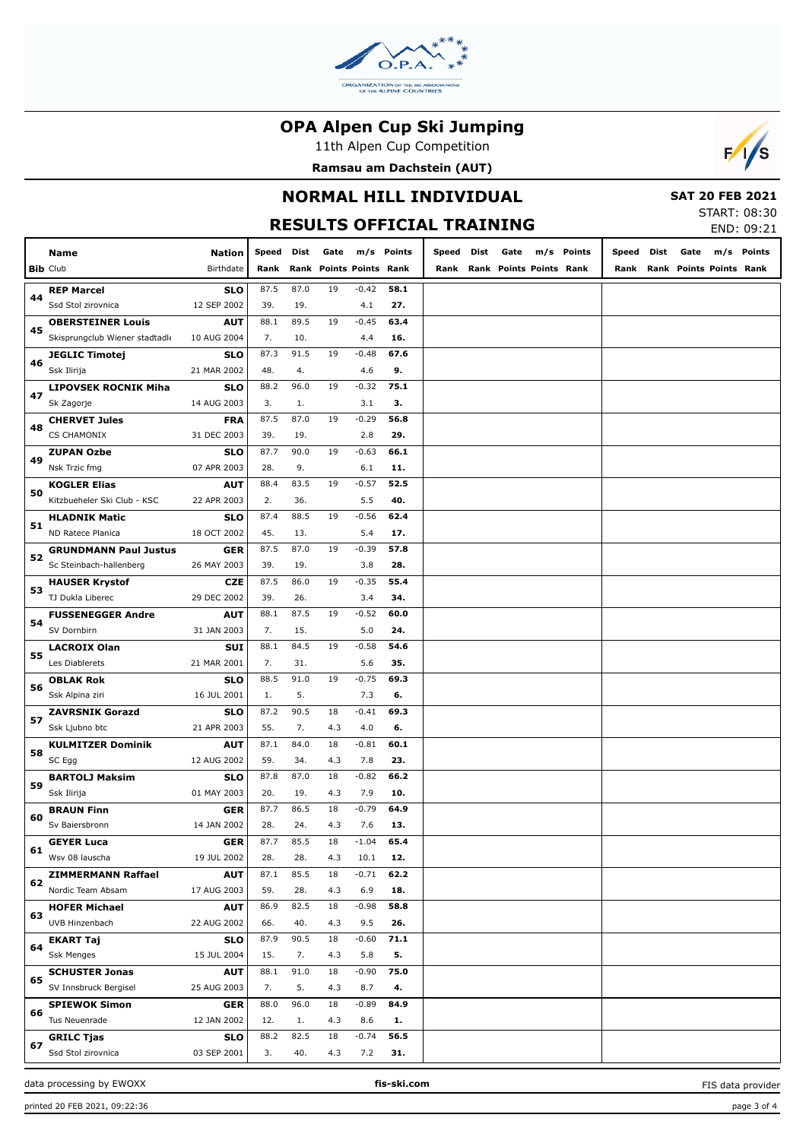

11th Alpen Cup Competition



# **NORMAL HILL INDIVIDUAL**

 **SAT 20 FEB 2021**

 $F/1/s$ 

#### **RESULTS OFFICIAL TRAINING** START: 08:30 END: 09:21 **Nation Speed Dist Rank Rank Points Points Rank Gate m/s Points Speed Gate Dist Rank Points Points Rank Rank Points m/s Speed Dist Gate m/s Points Rank Rank Points Points Rank** 87.5 87.0 19 39. 19. 4.1 **58.1** -0.42 **27.** 88.1 89.5 19 **63.4** -0.45 7. 10. 4.4 **16. 67.6 9.** -0.48 **75.1 3.** -0.32 **56.8 29.** -0.29 **66.1 11.** -0.63 **52.5** -0.57

| 45 | Skisprungclub Wiener stadtadle | 10 AUG 2004 | 7.   | 10.  |     | 4.4     | 16.  |  |
|----|--------------------------------|-------------|------|------|-----|---------|------|--|
|    | <b>JEGLIC Timotej</b>          | SLO         | 87.3 | 91.5 | 19  | $-0.48$ | 67.6 |  |
| 46 | Ssk Ilirija                    | 21 MAR 2002 | 48.  | 4.   |     | 4.6     | 9.   |  |
|    | <b>LIPOVSEK ROCNIK Miha</b>    | SLO         | 88.2 | 96.0 | 19  | $-0.32$ | 75.1 |  |
| 47 | Sk Zagorje                     | 14 AUG 2003 | 3.   | 1.   |     | 3.1     | з.   |  |
|    | <b>CHERVET Jules</b>           | <b>FRA</b>  | 87.5 | 87.0 | 19  | $-0.29$ | 56.8 |  |
| 48 | <b>CS CHAMONIX</b>             | 31 DEC 2003 | 39.  | 19.  |     | 2.8     | 29.  |  |
| 49 | <b>ZUPAN Ozbe</b>              | <b>SLO</b>  | 87.7 | 90.0 | 19  | $-0.63$ | 66.1 |  |
|    | Nsk Trzic fmg                  | 07 APR 2003 | 28.  | 9.   |     | 6.1     | 11.  |  |
| 50 | <b>KOGLER Elias</b>            | <b>AUT</b>  | 88.4 | 83.5 | 19  | $-0.57$ | 52.5 |  |
|    | Kitzbueheler Ski Club - KSC    | 22 APR 2003 | 2.   | 36.  |     | 5.5     | 40.  |  |
| 51 | <b>HLADNIK Matic</b>           | SLO         | 87.4 | 88.5 | 19  | $-0.56$ | 62.4 |  |
|    | ND Ratece Planica              | 18 OCT 2002 | 45.  | 13.  |     | 5.4     | 17.  |  |
| 52 | <b>GRUNDMANN Paul Justus</b>   | <b>GER</b>  | 87.5 | 87.0 | 19  | $-0.39$ | 57.8 |  |
|    | Sc Steinbach-hallenberg        | 26 MAY 2003 | 39.  | 19.  |     | 3.8     | 28.  |  |
| 53 | <b>HAUSER Krystof</b>          | <b>CZE</b>  | 87.5 | 86.0 | 19  | $-0.35$ | 55.4 |  |
|    | TJ Dukla Liberec               | 29 DEC 2002 | 39.  | 26.  |     | 3.4     | 34.  |  |
| 54 | <b>FUSSENEGGER Andre</b>       | <b>AUT</b>  | 88.1 | 87.5 | 19  | $-0.52$ | 60.0 |  |
|    | SV Dornbirn                    | 31 JAN 2003 | 7.   | 15.  |     | 5.0     | 24.  |  |
| 55 | <b>LACROIX Olan</b>            | SUI         | 88.1 | 84.5 | 19  | $-0.58$ | 54.6 |  |
|    | Les Diablerets                 | 21 MAR 2001 | 7.   | 31.  |     | 5.6     | 35.  |  |
| 56 | <b>OBLAK Rok</b>               | <b>SLO</b>  | 88.5 | 91.0 | 19  | $-0.75$ | 69.3 |  |
|    | Ssk Alpina ziri                | 16 JUL 2001 | 1.   | 5.   |     | 7.3     | 6.   |  |
| 57 | <b>ZAVRSNIK Gorazd</b>         | <b>SLO</b>  | 87.2 | 90.5 | 18  | $-0.41$ | 69.3 |  |
|    | Ssk Ljubno btc                 | 21 APR 2003 | 55.  | 7.   | 4.3 | 4.0     | 6.   |  |
| 58 | <b>KULMITZER Dominik</b>       | <b>AUT</b>  | 87.1 | 84.0 | 18  | $-0.81$ | 60.1 |  |
|    | SC Egg                         | 12 AUG 2002 | 59.  | 34.  | 4.3 | 7.8     | 23.  |  |
| 59 | <b>BARTOLJ Maksim</b>          | <b>SLO</b>  | 87.8 | 87.0 | 18  | $-0.82$ | 66.2 |  |
|    | Ssk Ilirija                    | 01 MAY 2003 | 20.  | 19.  | 4.3 | 7.9     | 10.  |  |
| 60 | <b>BRAUN Finn</b>              | <b>GER</b>  | 87.7 | 86.5 | 18  | $-0.79$ | 64.9 |  |
|    | Sv Baiersbronn                 | 14 JAN 2002 | 28.  | 24.  | 4.3 | 7.6     | 13.  |  |
| 61 | <b>GEYER Luca</b>              | <b>GER</b>  | 87.7 | 85.5 | 18  | $-1.04$ | 65.4 |  |
|    | Wsv 08 lauscha                 | 19 JUL 2002 | 28.  | 28.  | 4.3 | 10.1    | 12.  |  |
| 62 | <b>ZIMMERMANN Raffael</b>      | <b>AUT</b>  | 87.1 | 85.5 | 18  | $-0.71$ | 62.2 |  |
|    | Nordic Team Absam              | 17 AUG 2003 | 59.  | 28.  | 4.3 | 6.9     | 18.  |  |
| 63 | <b>HOFER Michael</b>           | <b>AUT</b>  | 86.9 | 82.5 | 18  | $-0.98$ | 58.8 |  |
|    | UVB Hinzenbach                 | 22 AUG 2002 | 66.  | 40.  | 4.3 | 9.5     | 26.  |  |
| 64 | <b>EKART Taj</b>               | SLO         | 87.9 | 90.5 | 18  | $-0.60$ | 71.1 |  |
|    | <b>Ssk Menges</b>              | 15 JUL 2004 | 15.  | 7.   | 4.3 | 5.8     | 5.   |  |
| 65 | <b>SCHUSTER Jonas</b>          | <b>AUT</b>  | 88.1 | 91.0 | 18  | $-0.90$ | 75.0 |  |
|    | SV Innsbruck Bergisel          | 25 AUG 2003 | 7.   | 5.   | 4.3 | 8.7     | 4.   |  |
| 66 | <b>SPIEWOK Simon</b>           | <b>GER</b>  | 88.0 | 96.0 | 18  | $-0.89$ | 84.9 |  |
|    | Tus Neuenrade                  | 12 JAN 2002 | 12.  | 1.   | 4.3 | 8.6     | 1.   |  |
| 67 | <b>GRILC Tjas</b>              | <b>SLO</b>  | 88.2 | 82.5 | 18  | $-0.74$ | 56.5 |  |
|    | Ssd Stol zirovnica             | 03 SEP 2001 | 3.   | 40.  | 4.3 | 7.2     | 31.  |  |
|    |                                |             |      |      |     |         |      |  |

data processing by EWOXX **fis-ski.com**

**Bib** Club **Name**

**44**

**REP Marcel** Ssd Stol zirovnica

**OBERSTEINER Louis**

Birthdate

**SLO** 12 SEP 2002

**AUT**

FIS data provider